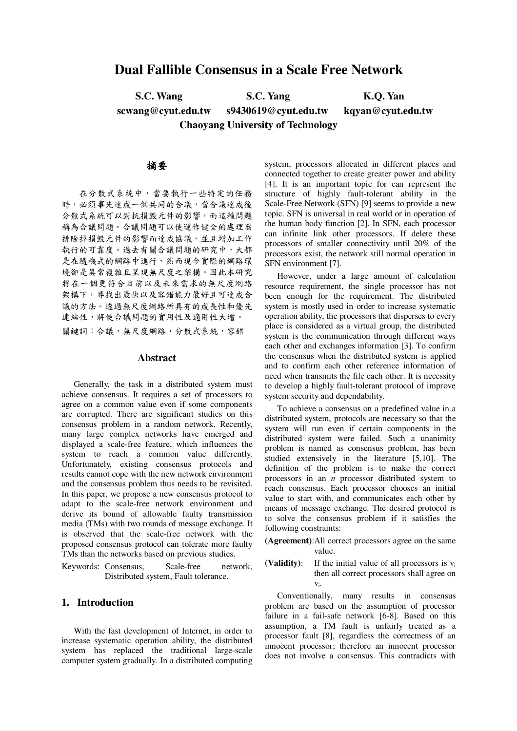# **Dual Fallible Consensus in a Scale Free Network**

**S.C. Wang S.C. Yang K.Q. Yan scwang@cyut.edu.tw s9430619@cyut.edu.tw kqyan@cyut.edu.tw Chaoyang University of Technology**

# 摘要

在分散式系統中,當要執行一些特定的任務 時,必須事先達成一個共同的合議,當合議達成後 分散式系統可以對抗損毀元件的影響,而這種問題 稱為合議問題。合議問題可以使運作健全的處理器 排除掉損毀元件的影響而達成協議,並且增加工作 執行的可靠度。過去有關合議問題的研究中,大都 是在隨機式的網路中進行,然而現今實際的網路環 境卻是異常複雜且呈現無尺度之架構。因此本研究 將在一個更符合目前以及未來需求的無尺度網路 架構下,尋找出最快以及容錯能力最好且可達成合 議的方法。透過無尺度網路所具有的成長性和優先 連結性,將使合議問題的實用性及適用性大增。 關鍵詞:合議,無尺度網路,分散式系統,容錯

#### **Abstract**

Generally, the task in a distributed system must achieve consensus. It requires a set of processors to agree on a common value even if some components are corrupted. There are significant studies on this consensus problem in a random network. Recently, many large complex networks have emerged and displayed a scale-free feature, which influences the system to reach a common value differently. Unfortunately, existing consensus protocols and results cannot cope with the new network environment and the consensus problem thus needs to be revisited. In this paper, we propose a new consensus protocol to adapt to the scale-free network environment and derive its bound of allowable faulty transmission media (TMs) with two rounds of message exchange. It is observed that the scale-free network with the proposed consensus protocol can tolerate more faulty TMs than the networks based on previous studies.

Keywords: Consensus, Scale-free network, Distributed system, Fault tolerance.

# **1. Introduction**

With the fast development of Internet, in order to increase systematic operation ability, the distributed system has replaced the traditional large-scale computer system gradually. In a distributed computing

system, processors allocated in different places and connected together to create greater power and ability [4]. It is an important topic for can represent the structure of highly fault-tolerant ability in the Scale-Free Network (SFN) [9] seems to provide a new topic. SFN is universal in real world or in operation of the human body function [2]. In SFN, each processor can infinite link other processors. If delete these processors of smaller connectivity until 20% of the processors exist, the network still normal operation in SFN environment [7].

However, under a large amount of calculation resource requirement, the single processor has not been enough for the requirement. The distributed system is mostly used in order to increase systematic operation ability, the processors that disperses to every place is considered as a virtual group, the distributed system is the communication through different ways each other and exchanges information [3]. To confirm the consensus when the distributed system is applied and to confirm each other reference information of need when transmits the file each other. It is necessity to develop a highly fault-tolerant protocol of improve system security and dependability.

To achieve a consensus on a predefined value in a distributed system, protocols are necessary so that the system will run even if certain components in the distributed system were failed. Such a unanimity problem is named as consensus problem, has been studied extensively in the literature [5,10]. The definition of the problem is to make the correct processors in an *n* processor distributed system to reach consensus. Each processor chooses an initial value to start with, and communicates each other by means of message exchange. The desired protocol is to solve the consensus problem if it satisfies the following constraints:

- **(Agreement)**:All correct processors agree on the same value.
- **(Validity)**: If the initial value of all processors is v<sup>i</sup> then all correct processors shall agree on  $V_i$ .

Conventionally, many results in consensus problem are based on the assumption of processor failure in a fail-safe network [6-8]. Based on this assumption, a TM fault is unfairly treated as a processor fault [8], regardless the correctness of an innocent processor; therefore an innocent processor does not involve a consensus. This contradicts with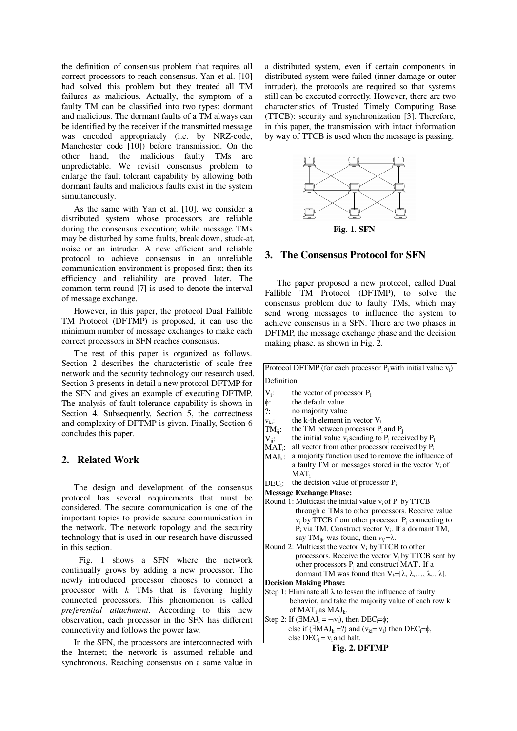the definition of consensus problem that requires all correct processors to reach consensus. Yan et al. [10] had solved this problem but they treated all TM failures as malicious. Actually, the symptom of a faulty TM can be classified into two types: dormant and malicious. The dormant faults of a TM always can be identified by the receiver if the transmitted message was encoded appropriately (i.e. by NRZ-code, Manchester code [10]) before transmission. On the other hand, the malicious faulty TMs are unpredictable. We revisit consensus problem to enlarge the fault tolerant capability by allowing both dormant faults and malicious faults exist in the system simultaneously.

As the same with Yan et al. [10], we consider a distributed system whose processors are reliable during the consensus execution; while message TMs may be disturbed by some faults, break down, stuck-at, noise or an intruder. A new efficient and reliable protocol to achieve consensus in an unreliable communication environment is proposed first; then its efficiency and reliability are proved later. The common term round [7] is used to denote the interval of message exchange.

However, in this paper, the protocol Dual Fallible TM Protocol (DFTMP) is proposed, it can use the minimum number of message exchanges to make each correct processors in SFN reaches consensus.

The rest of this paper is organized as follows. Section 2 describes the characteristic of scale free network and the security technology our research used. Section 3 presents in detail a new protocol DFTMP for the SFN and gives an example of executing DFTMP. The analysis of fault tolerance capability is shown in Section 4. Subsequently, Section 5, the correctness and complexity of DFTMP is given. Finally, Section 6 concludes this paper.

# **2. Related Work**

The design and development of the consensus protocol has several requirements that must be considered. The secure communication is one of the important topics to provide secure communication in the network. The network topology and the security technology that is used in our research have discussed in this section.

Fig. 1 shows a SFN where the network continually grows by adding a new processor. The newly introduced processor chooses to connect a processor with *k* TMs that is favoring highly connected processors. This phenomenon is called *preferential attachment*. According to this new observation, each processor in the SFN has different connectivity and follows the power law.

In the SFN, the processors are interconnected with the Internet; the network is assumed reliable and synchronous. Reaching consensus on a same value in

a distributed system, even if certain components in distributed system were failed (inner damage or outer intruder), the protocols are required so that systems still can be executed correctly. However, there are two characteristics of Trusted Timely Computing Base (TTCB): security and synchronization [3]. Therefore, in this paper, the transmission with intact information by way of TTCB is used when the message is passing.



# **3. The Consensus Protocol for SFN**

The paper proposed a new protocol, called Dual Fallible TM Protocol (DFTMP), to solve the consensus problem due to faulty TMs, which may send wrong messages to influence the system to achieve consensus in a SFN. There are two phases in DFTMP, the message exchange phase and the decision making phase, as shown in Fig. 2.

|             | Protocol DFTMP (for each processor $P_i$ with initial value $v_i$ )              |
|-------------|----------------------------------------------------------------------------------|
| Definition  |                                                                                  |
| $V_i$ :     | the vector of processor $P_i$                                                    |
| $\phi$ :    | the default value                                                                |
| ?:          | no majority value                                                                |
| $V_{ki}$ :  | the k-th element in vector $V_i$                                                 |
| $TM_{ii}$ : | the TM between processor $P_i$ and $P_i$                                         |
| $V_{ij}$ :  | the initial value $v_i$ sending to $P_i$ received by $P_i$                       |
| $MAT_i$ :   | all vector from other processor received by P <sub>i</sub>                       |
| $MAJ_k$ :   | a majority function used to remove the influence of                              |
|             | a faulty TM on messages stored in the vector $V_i$ of                            |
|             | $MAT_i$                                                                          |
| $DEC_i$ :   | the decision value of processor $P_i$                                            |
|             | <b>Message Exchange Phase:</b>                                                   |
|             | Round 1: Multicast the initial value $v_i$ of $P_i$ by TTCB                      |
|             | through c <sub>i</sub> TMs to other processors. Receive value                    |
|             | $v_i$ by TTCB from other processor $P_i$ connecting to                           |
|             | $P_i$ via TM. Construct vector $V_i$ . If a dormant TM,                          |
|             | say TM <sub>ij</sub> , was found, then $v_{ij} = \lambda$ .                      |
|             | Round 2: Multicast the vector $V_i$ by TTCB to other                             |
|             | processors. Receive the vector $V_i$ by TTCB sent by                             |
|             | other processors $P_i$ and construct MAT <sub>i</sub> . If a                     |
|             | dormant TM was found then $V_k = [\lambda, \lambda, , \lambda, \lambda].$        |
|             | <b>Decision Making Phase:</b>                                                    |
|             | Step 1: Eliminate all $\lambda$ to lessen the influence of faulty                |
|             | behavior, and take the majority value of each row k                              |
|             | of MAT <sub>i</sub> as MAJ <sub>k</sub> .                                        |
|             | Step 2: If $(\exists MAJ_i = \neg v_i)$ , then DEC <sub>i</sub> = $\phi$ ;       |
|             | else if $(\exists MAJ_k = ?)$ and $(v_k = v_i)$ then DEC <sub>i</sub> = $\phi$ , |
|             | else $DEC_i = v_i$ and halt.                                                     |

**Fig. 2. DFTMP**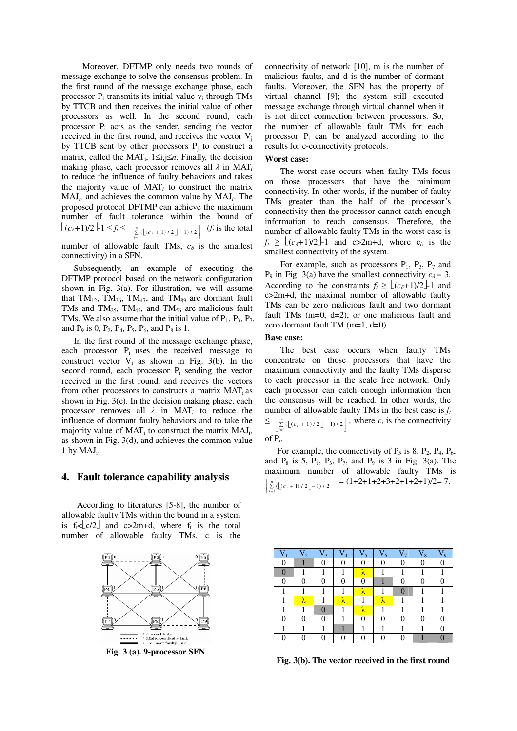Moreover, DFTMP only needs two rounds of message exchange to solve the consensus problem. In the first round of the message exchange phase, each processor  $P_i$  transmits its initial value  $v_i$  through TMs by TTCB and then receives the initial value of other processors as well. In the second round, each processor  $P_i$  acts as the sender, sending the vector received in the first round, and receives the vector  $V_i$ by TTCB sent by other processors  $P_j$  to construct a matrix, called the MAT<sup>i</sup> , 1≤i,j≤*n*. Finally, the decision making phase, each processor removes all  $\lambda$  in MAT<sub>*i*</sub> to reduce the influence of faulty behaviors and takes the majority value of  $MAT<sub>i</sub>$  to construct the matrix MAJ*<sup>i</sup> ,* and achieves the common value by MAJ*<sup>i</sup>* . The proposed protocol DFTMP can achieve the maximum number of fault tolerance within the bound of  $\lfloor (c_{\delta}+1)/2 \rfloor$ -1  $\leq f_t \leq \left[ \sum_{i=1}^n ( (c_i+1)/2 \rfloor - 1)/2 \right]$  $\left[ \sum_{i=1}^{n} \left( \left[ \left( c_i + 1 \right) / 2 \right] - 1 \right) / 2 \right]$  $\left[ \sum_{i=1}^{n} \left( \left[ \left( c_i + 1 \right) / 2 \right] - \right.$ *n*  $\sum_{i=1}^{n}$  ( $\lfloor (c_i + 1)/2 \rfloor - 1$ ) / 2  $\rfloor$  (*f<sub>t</sub>* is the total number of allowable fault TMs,  $c_{\delta}$  is the smallest connectivity) in a SFN.

Subsequently, an example of executing the DFTMP protocol based on the network configuration shown in Fig. 3(a). For illustration, we will assume that  $TM_{12}$ ,  $TM_{36}$ ,  $TM_{47}$ , and  $TM_{89}$  are dormant fault TMs and TM<sub>25</sub>, TM<sub>45</sub>, and TM<sub>56</sub> are malicious fault TMs. We also assume that the initial value of  $P_1$ ,  $P_3$ ,  $P_7$ , and  $P_9$  is 0,  $P_2$ ,  $P_4$ ,  $P_5$ ,  $P_6$ , and  $P_8$  is 1.

In the first round of the message exchange phase, each processor P<sup>i</sup> uses the received message to construct vector  $V_i$  as shown in Fig. 3(b). In the second round, each processor  $P_i$  sending the vector received in the first round, and receives the vectors from other processors to constructs a matrix  $MAT_i$  as shown in Fig. 3(c). In the decision making phase, each processor removes all  $\lambda$  in MAT<sub>i</sub> to reduce the influence of dormant faulty behaviors and to take the majority value of  $MAT_i$  to construct the matrix  $MAJ_i$ , as shown in Fig. 3(d), and achieves the common value  $1$  by  $MAJ_i$ .

# **4. Fault tolerance capability analysis**

According to literatures [5-8], the number of allowable faulty TMs within the bound in a system is  $f_t \leq c/2$  and  $c > 2m+d$ , where  $f_t$  is the total number of allowable faulty TMs, c is the



connectivity of network [10], m is the number of malicious faults, and d is the number of dormant faults. Moreover, the SFN has the property of virtual channel [9]; the system still executed message exchange through virtual channel when it is not direct connection between processors. So, the number of allowable fault TMs for each processor P<sup>i</sup> can be analyzed according to the results for c-connectivity protocols.

# **Worst case:**

The worst case occurs when faulty TMs focus on those processors that have the minimum connectivity. In other words, if the number of faulty TMs greater than the half of the processor's connectivity then the processor cannot catch enough information to reach consensus. Therefore, the number of allowable faulty TMs in the worst case is  $f_t \geq \lfloor (c_\delta + 1)/2 \rfloor$ -1 and c>2m+d, where c<sub>δ</sub> is the smallest connectivity of the system.

For example, such as processors  $P_1$ ,  $P_3$ ,  $P_7$  and P<sub>9</sub> in Fig. 3(a) have the smallest connectivity  $c_{\delta} = 3$ . According to the constraints  $f_t \geq \lfloor (c_\delta + 1)/2 \rfloor - 1$  and c>2m+d, the maximal number of allowable faulty TMs can be zero malicious fault and two dormant fault TMs (m=0, d=2), or one malicious fault and zero dormant fault TM (m=1, d=0).

#### **Base case:**

The best case occurs when faulty TMs concentrate on those processors that have the maximum connectivity and the faulty TMs disperse to each processor in the scale free network. Only each processor can catch enough information then the consensus will be reached. In other words, the number of allowable faulty TMs in the best case is *f<sup>t</sup>*  $\leq \left[ \sum_{i=1}^{n} \left( \left[ \left( c_i + 1 \right) / 2 \right] - 1 \right) / 2 \right]$  $\left[\sum_{i=1}^{n} \left(\left\lfloor (c_i+1)/2\right\rfloor - 1\right)/2\right]$  $\frac{1}{2} \left( \frac{1}{c_i} + 1 \right) / 2 \right)$ *n*  $\sum_{i=1}^{n} (\lfloor (c_i + 1)/2 \rfloor - 1)/2 \rfloor$ , where  $c_i$  is the connectivity .

of P*<sup>i</sup>*

For example, the connectivity of  $P_5$  is 8,  $P_2$ ,  $P_4$ ,  $P_6$ , and  $P_8$  is 5,  $P_1$ ,  $P_3$ ,  $P_7$ , and  $P_9$  is 3 in Fig. 3(a). The maximum number of allowable faulty TMs is  $(c_i + 1)/2 - 1)/2$  $\left[ \sum_{i=1}^{n} \left( \lfloor (c_i + 1) / 2 \rfloor - 1 \right) / 2 \right]$  $\frac{1}{2}$  ( $\lfloor (c_i + 1)/2 \rfloor$ *n*  $\left[\sum_{i=1}^{n} \left( \left[ (c_i + 1)/2 \right] - 1 \right) / 2 \right] = (1 + 2 + 1 + 2 + 3 + 2 + 1 + 2 + 1)/2 = 7.$ 

| $\overline{V}_2$ | $V_3$ | V<br>$\overline{4}$ | $V_5$ | $V_6$ | $V_{8}$ |  |
|------------------|-------|---------------------|-------|-------|---------|--|
|                  |       |                     |       |       |         |  |
|                  |       |                     | λ     |       |         |  |
|                  |       |                     |       |       |         |  |
|                  |       |                     | λ     |       |         |  |
|                  |       | Λ                   |       |       |         |  |
|                  |       |                     | λ     |       |         |  |
|                  |       |                     |       |       |         |  |
|                  |       |                     |       |       |         |  |
|                  |       |                     |       |       |         |  |

**Fig. 3(b). The vector received in the first round**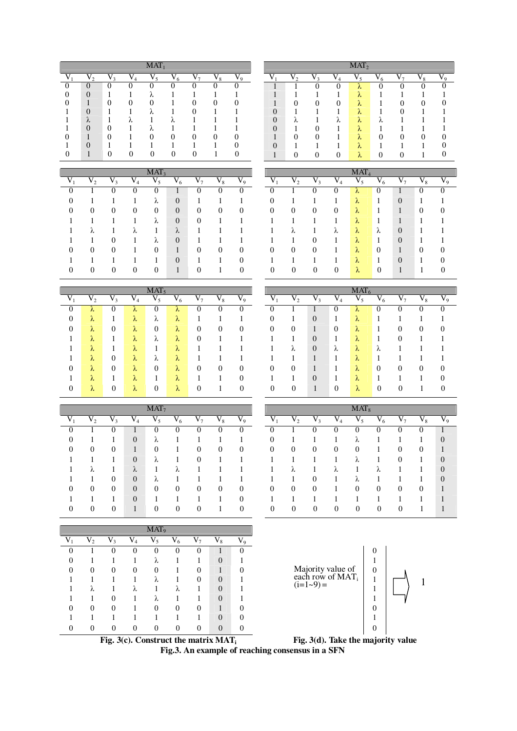|                |        |        | $MAT_1$      |                  |            |                  |       |   |              |                   |             | $MAT_2$                               |          |                          |                  |              |
|----------------|--------|--------|--------------|------------------|------------|------------------|-------|---|--------------|-------------------|-------------|---------------------------------------|----------|--------------------------|------------------|--------------|
|                | $\sim$ |        | $V_{5}$      | $\overline{V_6}$ | $V_{\tau}$ | $\overline{V}_8$ | $V_9$ |   | $V_{\alpha}$ | $V_{\mathcal{Z}}$ |             | 17                                    | V<br>6   | $\overline{\phantom{a}}$ | $\overline{V}_8$ | $V_{\alpha}$ |
| $\theta$       | O      |        |              |                  |            |                  |       |   |              |                   |             | ∼                                     | υ        |                          |                  | 0            |
| $\overline{0}$ |        |        | $\sim$       |                  |            |                  |       |   |              |                   |             | $\sim$<br>v.                          |          |                          |                  |              |
|                | 0      |        |              |                  | O          |                  |       |   | 0            | U                 | 0           | $\sim$<br>v                           |          |                          |                  | 0            |
| $\overline{0}$ |        |        | $\mathbf{v}$ |                  |            |                  |       | 0 |              |                   |             | $\sim$<br>W.                          |          |                          |                  |              |
| $\lambda$      |        | $\sim$ |              | $\sim$           |            |                  |       | 0 | ⋏            |                   | $\sim$<br>Λ | $\sim$<br>$\mathcal{N}$               | ∼        |                          |                  |              |
| $\overline{0}$ | 0      |        | $\sim$       |                  |            |                  |       | 0 |              |                   |             | $\sim$<br>$\mathcal{N}_{\mathcal{L}}$ |          |                          |                  |              |
| ш              | 0      |        |              | O                | $\theta$   | $\theta$         |       |   | $\theta$     | O                 |             | $\sim$<br>$\mathcal{N}$               | $\theta$ | 0                        | $\theta$         | $\Omega$     |
| $\theta$       |        |        |              |                  |            |                  |       | 0 |              |                   |             | $\sim$<br>$\mathcal{N}_{\mathcal{C}}$ |          |                          |                  | 0            |
|                | 0      |        | 0            | 0                | 0          |                  |       |   |              |                   | $\Omega$    | $\sim$<br>λ.                          |          | 0                        |                  |              |

|    |           |                           |           | MAT <sub>3</sub> |             |    |                  |       |
|----|-----------|---------------------------|-----------|------------------|-------------|----|------------------|-------|
| v. | $\rm V_2$ | $\overline{\mathrm{V}}_3$ | $\rm V_4$ | $\overline{V}_5$ | ${\rm V}_6$ | V7 | $\overline{V}_8$ | $V_9$ |
| 0  |           |                           |           |                  |             |    | 0                | n     |
| 0  |           |                           |           | λ                | 0           |    |                  |       |
| O  |           |                           |           |                  | 0           |    |                  |       |
|    |           |                           |           | λ                | $\theta$    |    |                  |       |
|    | Λ         |                           | λ         |                  | λ           |    |                  |       |
|    |           |                           |           | λ                |             |    |                  |       |
| 0  |           |                           |           |                  |             |    |                  |       |
|    |           |                           |           |                  |             |    |                  |       |
|    |           |                           |           |                  |             |    |                  |       |

|    |                  |                              |   | $MAT_5$     |             |    |                  |                  |
|----|------------------|------------------------------|---|-------------|-------------|----|------------------|------------------|
| V, | $\overline{V}_2$ | V<br>$\overline{\mathbf{3}}$ | V | $\vec{v}_5$ | $\vec{V}_6$ | V, | $\vec{\nabla}_8$ | $\overline{V_9}$ |
| ∩  | λ                |                              | λ |             | λ           |    |                  | 0                |
| 0  | λ                |                              | λ | λ           | λ           |    |                  |                  |
| 0  | λ                |                              | λ | 0           | λ           |    |                  |                  |
|    | λ                |                              | λ | λ           | λ           |    |                  |                  |
|    | λ                |                              | λ |             | λ           |    |                  |                  |
|    | λ                |                              | λ | λ           | λ           |    |                  |                  |
| 0  | λ                |                              | λ | 0           | λ           |    |                  |                  |
|    | λ                |                              | λ |             | λ           |    |                  |                  |
|    | λ                |                              | λ |             | λ           |    |                  |                  |

|   |   | $\overline{\text{MAT}}_2$ |   |   |  |
|---|---|---------------------------|---|---|--|
|   |   |                           | n | 8 |  |
|   |   | λ                         |   |   |  |
|   |   | λ                         |   |   |  |
|   |   | λ                         |   |   |  |
|   |   | λ                         |   |   |  |
| λ | λ | λ                         |   |   |  |
|   |   | λ                         |   |   |  |
|   |   | λ                         |   |   |  |
|   |   | λ                         |   |   |  |
|   |   |                           |   |   |  |

|                |                |                |                | MAT <sub>3</sub> |                |    |                |                |          |                |    |                | MAT <sub>4</sub> |                |                |           |       |
|----------------|----------------|----------------|----------------|------------------|----------------|----|----------------|----------------|----------|----------------|----|----------------|------------------|----------------|----------------|-----------|-------|
| $V_1$          | $V_{2}$        | $V_{3}$        | $\rm V_4$      | $V_{\leq}$       | $V_6$          | V, | $\rm V_8$      | $V_9$          | V        | $V_{2}$        | V, | $\rm V_4$      | $V_{5}$          | $V_6$          | V <sub>7</sub> | $\rm V_8$ | $V_9$ |
| $\theta$       |                |                |                |                  |                | U  |                |                | υ        |                |    |                | $\sim$           | U              |                | U         |       |
| $\overline{0}$ |                |                |                | $\sim$<br>Λ      | $\theta$       |    |                |                | 0        |                |    |                | $\sim$<br>Λ      |                | $\overline{0}$ |           |       |
| $\mathbf{0}$   | $\overline{0}$ | $\theta$       | $\overline{0}$ | $\overline{0}$   | $\overline{0}$ | 0  | $\overline{0}$ | $\theta$       | $\theta$ | $\overline{0}$ | 0  | $\overline{0}$ | Λ                |                | 1              | 0         |       |
| 1              |                |                |                | Λ                | $\overline{0}$ | 0  |                |                |          |                |    |                | $\sim$<br>Λ      |                |                |           |       |
| 1              | Λ              |                | $\sim$<br>Λ    |                  | $\sim$         |    |                |                |          | Λ              |    | Λ              | $\sim$<br>Λ      | $\sim$<br>⋏    | $\overline{0}$ |           |       |
| 1              |                | $\overline{0}$ |                | Λ                | $\overline{0}$ |    |                |                |          |                |    |                | $\sim$<br>Λ      |                | $\theta$       |           |       |
| $\overline{0}$ | $\overline{0}$ | $\overline{0}$ |                | $\overline{0}$   |                | 0  | $\overline{0}$ | $\overline{0}$ | 0        | $\overline{0}$ | 0  |                | $\sim$<br>Λ      | $\theta$       | ш              | 0         |       |
| 1              |                |                |                |                  | $\overline{0}$ |    |                | $\Omega$       |          |                |    |                | $\sim$<br>Λ      |                | $\overline{0}$ |           |       |
| $\overline{0}$ | 0              | $\overline{0}$ | 0              | 0                |                | 0  |                | $\Omega$       | $\theta$ | 0              | 0  | 0              | $\sim$<br>∼      | $\overline{0}$ |                |           | 0     |

|                |             |                  |             | MAT <sub>5</sub> |                  |    |           |                |   |              |                |                | $MAT_6$             |                  |    |                |                  |
|----------------|-------------|------------------|-------------|------------------|------------------|----|-----------|----------------|---|--------------|----------------|----------------|---------------------|------------------|----|----------------|------------------|
| $V_1$          | V,          | $V_{3}$          | $\rm V_4$   | $V_5$            | $\overline{V_6}$ | V7 | $\rm V_8$ | $V_9$          | V | v 2          | $V_{3}$        | $V_4$          | ${\rm V}_5$         | $\overline{V}_6$ | V, | $\rm V_8$      | $\overline{V_9}$ |
| $\theta$       | Λ           | U                | ∼           | U                | <b>N</b>         |    | 0         |                |   |              |                | 0              | Λ                   | 0                |    |                |                  |
| $\theta$       | $\sim$<br>Λ | л                | $\sim$<br>⋏ | $\sim$<br>⋏      | $\sim$<br>Λ      |    |           |                | 0 |              | $\theta$       | л.             | $\sim$<br>$\lambda$ |                  |    |                |                  |
| $\overline{0}$ | $\sim$<br>⋏ | $\theta$         | $\sim$<br>λ | 0                | $\lambda$        | 0  | 0         | $\overline{0}$ | 0 | $\theta$     | 1              | $\overline{0}$ | $\lambda$           | л                | 0  | $\overline{0}$ |                  |
| 1              | $\sim$<br>Λ |                  | $\sim$<br>⋏ | Λ                | $\mathcal{N}$    | 0  |           |                |   |              | $\overline{0}$ | $\mathbf{I}$   | $\lambda$           |                  | 0  |                |                  |
| 1              | $\sim$<br>٨ | л.               | $\sim$<br>⋏ | л.               | Λ                |    |           |                |   | $\sim$<br>λ. | $\theta$       | λ              | $\sim$<br>$\lambda$ | $\sim$<br>∼      |    |                |                  |
| 1              | $\sim$<br>Λ | $\theta$         | $\sim$<br>⋏ | Λ                | ∼                |    |           |                |   |              |                |                | $\sim$<br>⋏         |                  |    |                |                  |
| $\overline{0}$ | $\sim$<br>⋏ | $\theta$         | $\sim$<br>⋏ | $\overline{0}$   | $\lambda$        | 0  | 0         | $\theta$       | 0 | 0            |                | ı              | ⋏                   | 0                | 0  |                |                  |
| 1              | $\sim$<br>٨ | л                | λ           |                  | v.               |    |           | 0              |   |              | $\overline{0}$ |                | v                   |                  |    |                |                  |
| $\theta$       | $\sim$<br>⋏ | $\boldsymbol{0}$ | $\sim$<br>⋏ | 0                | Λ                | 0  |           | $\Omega$       | 0 |              |                | $\overline{0}$ | λ                   | 0                |    |                | O                |

|                |          |          |              | MAT <sub>7</sub> |                |           |           |                |                |                |          |           | $MAT_8$  |          |          |                |                  |
|----------------|----------|----------|--------------|------------------|----------------|-----------|-----------|----------------|----------------|----------------|----------|-----------|----------|----------|----------|----------------|------------------|
| $V_1$          | $V_{2}$  | $V_3$    | $V_4$        | $V_5$            | ${\rm V_6}$    | $\rm V_7$ | $\rm V_8$ | $V_9$          | $V_1$          | V,             | $V_3$    | $\rm V_4$ | $V_5$    | $V_6$    | $V_7$    | $\rm V_8$      |                  |
|                |          |          |              |                  |                | 0         |           | 0              |                |                | 0        | U         |          | 0        | 0        |                | $\perp$          |
| 0              |          |          | $\theta$     | Λ                |                |           |           |                | $\overline{0}$ |                |          |           | Λ        |          |          |                | $\boldsymbol{0}$ |
| $\overline{0}$ | 0        | 0        |              | $\Omega$         |                | $\theta$  | $\theta$  | $\overline{0}$ | $\theta$       | $\overline{0}$ | 0        | $\theta$  | $\theta$ |          | $\theta$ | $\overline{0}$ | 1                |
|                |          |          | $\theta$     | Λ                |                | 0         |           |                |                |                |          |           | Λ        |          | 0        |                | $\boldsymbol{0}$ |
|                | Λ        |          | $\lambda$    |                  | $\sim$         |           |           |                |                | Λ              |          | Λ         |          | v        |          |                | $\overline{0}$   |
|                |          | 0        | $\theta$     | Λ                |                |           |           |                |                |                | 0        |           | Λ        |          |          |                | $\boldsymbol{0}$ |
| 0              | 0        | 0        | $\theta$     | $\overline{0}$   | $\overline{0}$ | 0         | 0         | $\overline{0}$ | $\theta$       | $\overline{0}$ | 0        |           | $\theta$ | 0        | 0        | $\theta$       | $\mathbf{I}$     |
|                |          |          | $\theta$     |                  |                |           |           | $\overline{0}$ |                |                |          |           |          |          |          |                | $\perp$          |
| $\Omega$       | $\Omega$ | $\Omega$ | $\mathbf{1}$ | $\Omega$         | $\Omega$       | $\Omega$  |           | $\Omega$       | $\Omega$       | $\Omega$       | $\Omega$ | $\Omega$  | $\Omega$ | $\Omega$ | $\Omega$ |                | $\blacksquare$   |

|                  |          |                |                | MAT <sub>7</sub> |                |          |           |          |          |                  |                |                  | $MAT_8$     |                  |          |                |                |
|------------------|----------|----------------|----------------|------------------|----------------|----------|-----------|----------|----------|------------------|----------------|------------------|-------------|------------------|----------|----------------|----------------|
| $\overline{V_1}$ | $V_2$    | $V_3$          | $\rm V_4$      | $V_5$            | $V_6$          | $V_7$    | $\rm V_8$ | $V_9$    | $V_1$    | $\overline{V_2}$ | $V_3$          | $\overline{V_4}$ | $V_5$       | $\overline{V_6}$ | $V_7$    | $\rm V_8$      | $V_9$          |
| $\theta$         |          |                |                | U                | 0              |          |           | U        |          |                  |                | O                |             |                  |          | 0              |                |
| $\Omega$         |          |                | $\overline{0}$ | Λ                |                |          |           |          | $\theta$ |                  |                |                  | $\sim$<br>∼ |                  |          |                | $\overline{0}$ |
| $\theta$         | $\theta$ | 0              |                | 0                |                | $\theta$ | $\theta$  | $\theta$ | $\theta$ | $\theta$         | $\theta$       | $\overline{0}$   | $\theta$    |                  | $\Omega$ | $\overline{0}$ |                |
|                  |          |                | $\overline{0}$ | Λ                |                | 0        |           |          |          |                  |                |                  | $\sim$<br>∼ |                  | 0        |                | $\overline{0}$ |
| 1                | Λ        |                | $\sim$<br>Λ    |                  | $\sim$<br>∼    |          |           |          |          | Λ                |                | $\sim$<br>Λ      |             | ∼                |          |                | $\overline{0}$ |
|                  |          | 0              | $\overline{0}$ | Λ                |                |          |           |          |          |                  | 0              |                  | $\sim$<br>∼ |                  |          |                | $\theta$       |
| $\theta$         | $\theta$ | $\theta$       | $\theta$       | 0                | $\theta$       | $\theta$ | $\theta$  | $\Omega$ | $\theta$ | $\theta$         | $\theta$       |                  | $\theta$    | $\theta$         | $\theta$ | $\theta$       |                |
|                  |          |                | $\theta$       |                  |                |          |           | $\theta$ |          |                  |                |                  |             |                  |          |                |                |
| $\theta$         | $\theta$ | $\overline{0}$ | $\blacksquare$ | 0                | $\overline{0}$ | $\theta$ |           | $\Omega$ | $\Omega$ | $\overline{0}$   | $\overline{0}$ | $\theta$         | $\theta$    | $\Omega$         | $\theta$ |                |                |
|                  |          |                |                |                  |                |          |           |          |          |                  |                |                  |             |                  |          |                |                |

|          |          |    | $MAT_9$  |           |          |                |             |
|----------|----------|----|----------|-----------|----------|----------------|-------------|
| V2       | V3       | V4 | $V_5$    | $\rm V_6$ | V7       | ${\rm V}_{8}$  | $V_{\rm o}$ |
|          |          | 0  |          |           | $\Omega$ |                |             |
|          |          |    | Λ        |           |          | $\theta$       |             |
| 0        | 0        | 0  | $\Omega$ |           |          |                |             |
|          |          |    | Λ        |           |          | $\overline{0}$ |             |
| Λ        |          | Λ  |          | Λ         |          | $\overline{0}$ |             |
|          |          |    | Λ        |           |          | $\theta$       |             |
| $\theta$ | $\theta$ |    | $\Omega$ | $\Omega$  | $\Omega$ |                |             |
|          |          |    |          |           |          | $\theta$       |             |
|          |          |    |          |           |          | $\Omega$       |             |



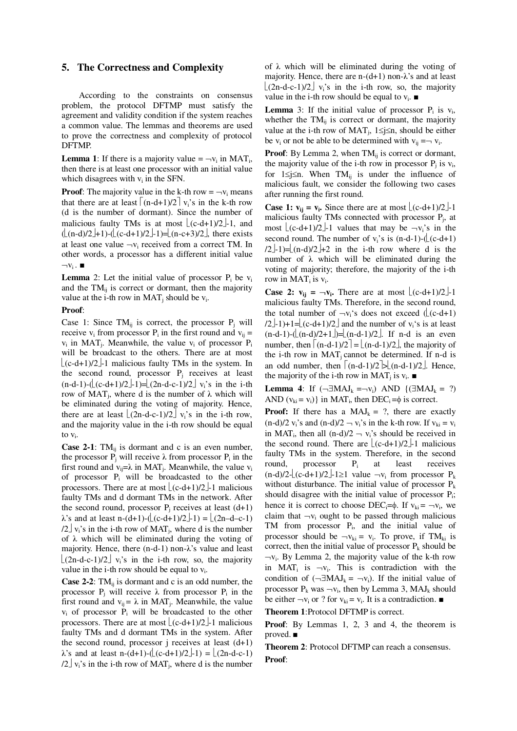#### **5. The Correctness and Complexity**

According to the constraints on consensus problem, the protocol DFTMP must satisfy the agreement and validity condition if the system reaches a common value. The lemmas and theorems are used to prove the correctness and complexity of protocol DFTMP.

**Lemma 1:** If there is a majority value  $= -v_i$  in MAT<sub>i</sub>, then there is at least one processor with an initial value which disagrees with  $v_i$  in the SFN.

**Proof:** The majority value in the k-th row  $= -v_i$  means that there are at least  $|(n-d+1)/2|v_i\hat{s}$  in the k-th row (d is the number of dormant). Since the number of malicious faulty TMs is at most  $\lfloor (c-d+1)/2 \rfloor$ -1, and  $(\lfloor (n-d)/2 \rfloor + 1)$ - $(\lfloor (c-d+1)/2 \rfloor - 1) = \lfloor (n-c+3)/2 \rfloor$ , there exists at least one value  $\neg v_i$  received from a correct TM. In other words, a processor has a different initial value  $\neg v_i$ .

**Lemma** 2: Let the initial value of processor  $P_i$  be  $v_i$ and the  $TM_{ij}$  is correct or dormant, then the majority value at the i-th row in  $MAT_j$  should be  $v_i$ .

#### **Proof**:

Case 1: Since  $TM_{ij}$  is correct, the processor  $P_j$  will receive  $v_i$  from processor  $P_i$  in the first round and  $v_{ij}$  =  $v_i$  in MAT<sub>j</sub>. Meanwhile, the value  $v_i$  of processor  $P_i$ will be broadcast to the others. There are at most  $\lfloor$ (c-d+1)/2 $\rfloor$ -1 malicious faulty TMs in the system. In the second round, processor  $P_i$  receives at least  $(n-d-1)-((c-d+1)/2-1)=[(2n-d-c-1)/2]$  v<sub>i</sub>'s in the i-th row of  $MAT_j$ , where d is the number of  $\lambda$  which will be eliminated during the voting of majority. Hence, there are at least  $\lfloor (2n-d-c-1)/2 \rfloor$  v<sub>i</sub>'s in the i-th row, and the majority value in the i-th row should be equal to v<sub>i</sub>.

**Case 2-1**:  $TM_{ij}$  is dormant and c is an even number, the processor  $\overline{P}_j$  will receive  $\lambda$  from processor  $P_i$  in the first round and  $v_{ij} = \lambda$  in MAT<sub>j</sub>. Meanwhile, the value  $v_i$ of processor  $P_i$  will be broadcasted to the other processors. There are at most  $\lfloor (c-d+1)/2 \rfloor$ -1 malicious faulty TMs and d dormant TMs in the network. After the second round, processor  $P_i$  receives at least (d+1)  $\lambda$ 's and at least n-(d+1)-( $\lfloor (c-d+1)/2 \rfloor$ -1) =  $\lfloor (2n-d-c-1) \rfloor$  $/2 \text{ } \frac{1}{2}$  v<sub>i</sub>'s in the i-th row of MAT<sub>j</sub>, where d is the number of  $\lambda$  which will be eliminated during the voting of majority. Hence, there  $(n-d-1)$  non- $\lambda$ 's value and least  $\lfloor (2n-d-c-1)/2 \rfloor$  v<sub>i</sub>'s in the i-th row, so, the majority value in the i-th row should be equal to  $v_i$ .

**Case 2-2**: TMij is dormant and c is an odd number, the processor  $P_j$  will receive  $\lambda$  from processor  $P_i$  in the first round and  $v_{ij} = \lambda$  in MAT<sub>j</sub>. Meanwhile, the value  $v_i$  of processor  $P_i$  will be broadcasted to the other processors. There are at most  $\lfloor (c-d+1)/2 \rfloor$ -1 malicious faulty TMs and d dormant TMs in the system. After the second round, processor j receives at least  $(d+1)$  $\lambda$ 's and at least n-(d+1)-( $\lfloor$ (c-d+1)/2 $\rfloor$ -1) =  $\lfloor$ (2n-d-c-1)  $/2 \text{ } \frac{1}{2}$  v<sub>i</sub>'s in the i-th row of MAT<sub>j</sub>, where d is the number

of  $\lambda$  which will be eliminated during the voting of majority. Hence, there are  $n-(d+1)$  non- $\lambda$ 's and at least  $\left(2n-d-c-1/2\right)$  v<sub>i</sub>'s in the i-th row, so, the majority value in the i-th row should be equal to  $v_i$ .

**Lemma** 3: If the initial value of processor  $P_i$  is  $v_i$ , whether the  $TM_{ij}$  is correct or dormant, the majority value at the i-th row of  $MAT_j$ ,  $1 \le j \le n$ , should be either be  $v_i$  or not be able to be determined with  $v_{ij} = v_i$ .

**Proof**: By Lemma 2, when TM<sub>ij</sub> is correct or dormant, the majority value of the i-th row in processor  $P_j$  is  $v_i$ , for  $1 \le j \le n$ . When TM<sub>ij</sub> is under the influence of malicious fault, we consider the following two cases after running the first round.

**Case 1:**  $v_{ij} = v_i$ . Since there are at most  $\lfloor (c-d+1)/2 \rfloor$ -1 malicious faulty TMs connected with processor P<sub>j</sub>, at most  $\lfloor (c-d+1)/2 \rfloor$ -1 values that may be  $\neg v_i$ 's in the second round. The number of  $v_i$ 's is  $(n-d-1)-((c-d+1))$  $(2-1)=[(n-d)/2]+2$  in the i-th row where d is the number of  $\lambda$  which will be eliminated during the voting of majority; therefore, the majority of the i-th row in  $MAT_i$  is  $v_i$ .

**Case 2:**  $\mathbf{v}_{ij} = -\mathbf{v}_i$ . There are at most  $\lfloor (c-d+1)/2 \rfloor - 1$ malicious faulty TMs. Therefore, in the second round, the total number of  $\neg v_i$ 's does not exceed ( $\lfloor (c-d+1) \rfloor$ )  $/2$  $\perp$ -1)+1= $\lfloor$ (c-d+1)/2 $\rfloor$  and the number of v<sub>i</sub>'s is at least  $(n-d-1)-((n-d)/2+1)=((n-d-1)/2)$ . If n-d is an even number, then  $\lceil (n-d-1)/2 \rceil = \lfloor (n-d-1)/2 \rfloor$ , the majority of the i-th row in  $MAT_i$  cannot be determined. If n-d is an odd number, then  $\lceil (n-d-1)/2 \rceil \geq (n-d-1)/2 \rfloor$ . Hence, the majority of the i-th row in MAT<sub>j</sub> is  $v_i$ .

**Lemma 4**: If  $(\neg \exists MAJ_k = \neg v_i)$  AND  $\{(\exists MAJ_k = ?)$ AND  $(v_{ki} = v_i)$  in MAT<sub>i</sub>, then DEC<sub>i</sub> = $\phi$  is correct.

**Proof:** If there has a  $MAJ_k = ?$ , there are exactly  $(n-d)/2$  v<sub>i</sub>'s and  $(n-d)/2 - v_i$ 's in the k-th row. If  $v_{ki} = v_i$ in MAT<sub>i</sub>, then all  $(n-d)/2 - v_i$ 's should be received in the second round. There are  $(c-d+1)/2$ -1 malicious faulty TMs in the system. Therefore, in the second round, processor P<sup>i</sup> at least receives  $(n-d)/2-[(c-d+1)/2]-1\geq 1$  value  $\neg v_i$  from processor  $P_k$ without disturbance. The initial value of processor  $P_k$ should disagree with the initial value of processor P<sub>i</sub>; hence it is correct to choose  $DEC_i=\phi$ . If  $v_{ki} = -v_i$ , we claim that  $\neg v_i$  ought to be passed through malicious TM from processor P<sub>i</sub>, and the initial value of processor should be  $\neg v_{ki} = v_i$ . To prove, if TM<sub>ki</sub> is correct, then the initial value of processor  $P_k$  should be  $\neg v_i$ . By Lemma 2, the majority value of the k-th row in MAT<sub>i</sub> is  $-v_i$ . This is contradiction with the condition of  $(\neg \exists MAJ_k = \neg v_i)$ . If the initial value of processor  $P_k$  was  $\neg v_i$ , then by Lemma 3, MAJ<sub>k</sub> should be either  $\neg v_i$  or ? for  $v_{ki} = v_i$ . It is a contradiction.

**Theorem 1**:Protocol DFTMP is correct.

**Proof**: By Lemmas 1, 2, 3 and 4, the theorem is proved. ■

**Theorem 2**: Protocol DFTMP can reach a consensus. **Proof**: